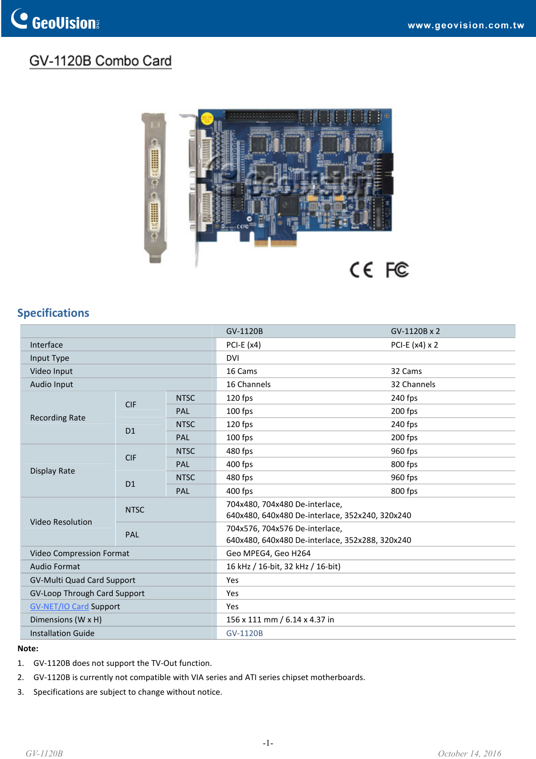## GV-1120B Combo Card



## **Specifications**

|                                   |             |             | GV-1120B                                                                          | GV-1120B x 2          |
|-----------------------------------|-------------|-------------|-----------------------------------------------------------------------------------|-----------------------|
| Interface                         |             |             | PCI-E $(x4)$                                                                      | PCI-E $(x4) \times 2$ |
| Input Type                        |             |             | <b>DVI</b>                                                                        |                       |
| Video Input                       |             |             | 16 Cams                                                                           | 32 Cams               |
| Audio Input                       |             |             | 16 Channels                                                                       | 32 Channels           |
| <b>Recording Rate</b>             | <b>CIF</b>  | <b>NTSC</b> | 120 fps                                                                           | 240 fps               |
|                                   |             | PAL         | 100 fps                                                                           | 200 fps               |
|                                   | D1          | <b>NTSC</b> | 120 fps                                                                           | 240 fps               |
|                                   |             | PAL         | $100$ fps                                                                         | 200 fps               |
| Display Rate                      | <b>CIF</b>  | <b>NTSC</b> | 480 fps                                                                           | 960 fps               |
|                                   |             | <b>PAL</b>  | 400 fps                                                                           | 800 fps               |
|                                   | D1          | <b>NTSC</b> | 480 fps                                                                           | 960 fps               |
|                                   |             | PAL         | 400 fps                                                                           | 800 fps               |
|                                   | <b>NTSC</b> |             | 704x480, 704x480 De-interlace,<br>640x480, 640x480 De-interlace, 352x240, 320x240 |                       |
| Video Resolution                  | PAL         |             | 704x576, 704x576 De-interlace,<br>640x480, 640x480 De-interlace, 352x288, 320x240 |                       |
| Video Compression Format          |             |             | Geo MPEG4, Geo H264                                                               |                       |
| <b>Audio Format</b>               |             |             | 16 kHz / 16-bit, 32 kHz / 16-bit)                                                 |                       |
| <b>GV-Multi Quad Card Support</b> |             |             | Yes                                                                               |                       |
| GV-Loop Through Card Support      |             |             | Yes                                                                               |                       |
| <b>GV-NET/IO Card Support</b>     |             |             | Yes                                                                               |                       |
| Dimensions (W x H)                |             |             | 156 x 111 mm / 6.14 x 4.37 in                                                     |                       |
| <b>Installation Guide</b>         |             |             | <b>GV-1120B</b>                                                                   |                       |

## **Note:**

- 1. GV-1120B does not support the TV-Out function.
- 2. GV-1120B is currently not compatible with VIA series and ATI series chipset motherboards.
- 3. Specifications are subject to change without notice.